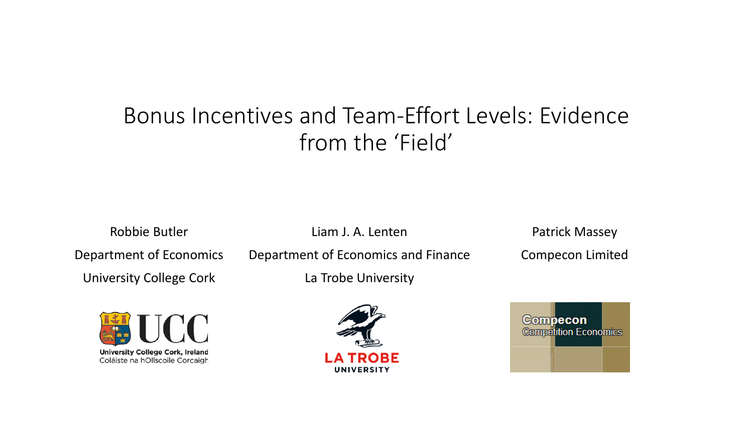# Bonus Incentives and Team-Effort Levels: Evidence from the 'Field'

Robbie Butler Department of Economics University College Cork



Department of Economics and Finance

Liam J. A. Lenten

La Trobe University



**Compecon Competition Economics** 

Patrick Massey

Compecon Limited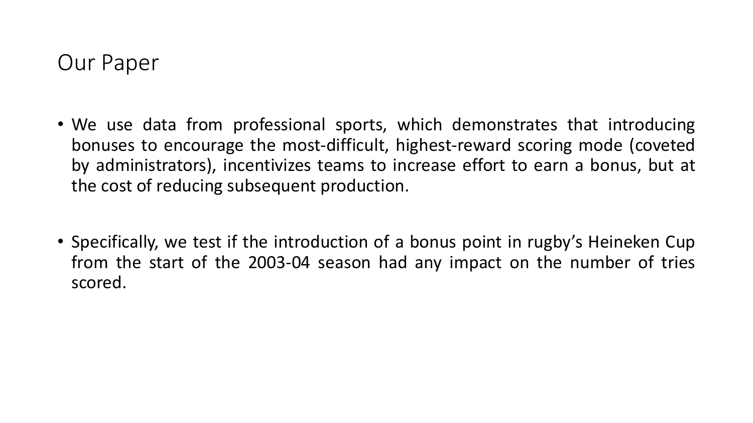# Our Paper

- We use data from professional sports, which demonstrates that introducing bonuses to encourage the most-difficult, highest-reward scoring mode (coveted by administrators), incentivizes teams to increase effort to earn a bonus, but at the cost of reducing subsequent production.
- Specifically, we test if the introduction of a bonus point in rugby's Heineken Cup from the start of the 2003-04 season had any impact on the number of tries scored.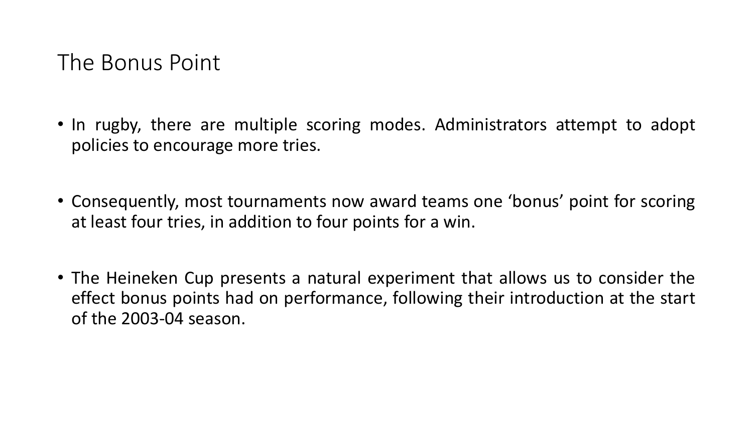# The Bonus Point

- In rugby, there are multiple scoring modes. Administrators attempt to adopt policies to encourage more tries.
- Consequently, most tournaments now award teams one 'bonus' point for scoring at least four tries, in addition to four points for a win.
- The Heineken Cup presents a natural experiment that allows us to consider the effect bonus points had on performance, following their introduction at the start of the 2003-04 season.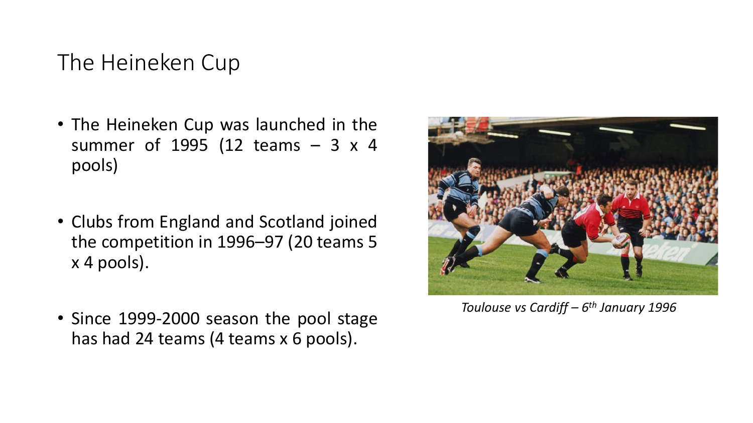# The Heineken Cup

- The Heineken Cup was launched in the summer of 1995 (12 teams – 3 x 4 pools)
- Clubs from England and Scotland joined the competition in 1996–97 (20 teams 5 x 4 pools).
- Since 1999-2000 season the pool stage has had 24 teams (4 teams x 6 pools).



*Toulouse vs Cardiff – 6th January 1996*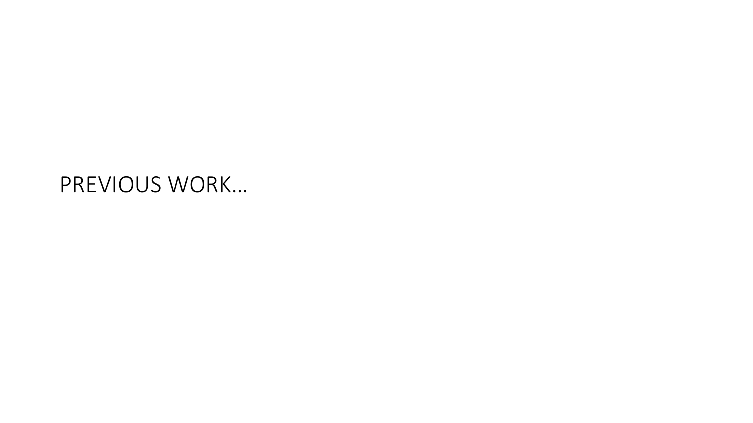# PREVIOUS WORK…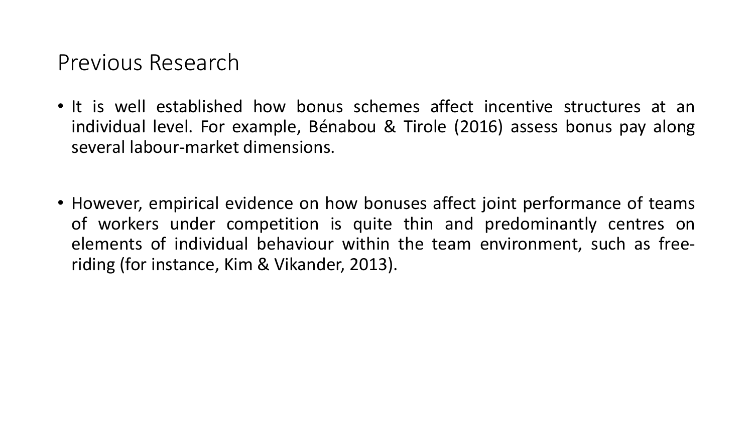## Previous Research

- It is well established how bonus schemes affect incentive structures at an individual level. For example, Bénabou & Tirole (2016) assess bonus pay along several labour-market dimensions.
- However, empirical evidence on how bonuses affect joint performance of teams of workers under competition is quite thin and predominantly centres on elements of individual behaviour within the team environment, such as freeriding (for instance, Kim & Vikander, 2013).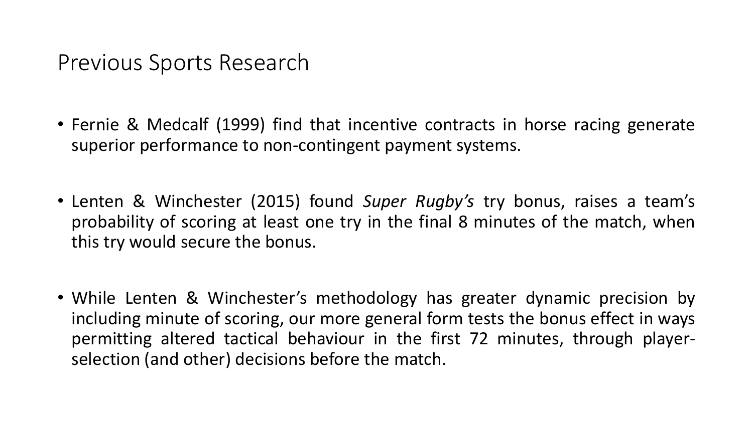Previous Sports Research

- Fernie & Medcalf (1999) find that incentive contracts in horse racing generate superior performance to non-contingent payment systems.
- Lenten & Winchester (2015) found *Super Rugby's* try bonus, raises a team's probability of scoring at least one try in the final 8 minutes of the match, when this try would secure the bonus.
- While Lenten & Winchester's methodology has greater dynamic precision by including minute of scoring, our more general form tests the bonus effect in ways permitting altered tactical behaviour in the first 72 minutes, through playerselection (and other) decisions before the match.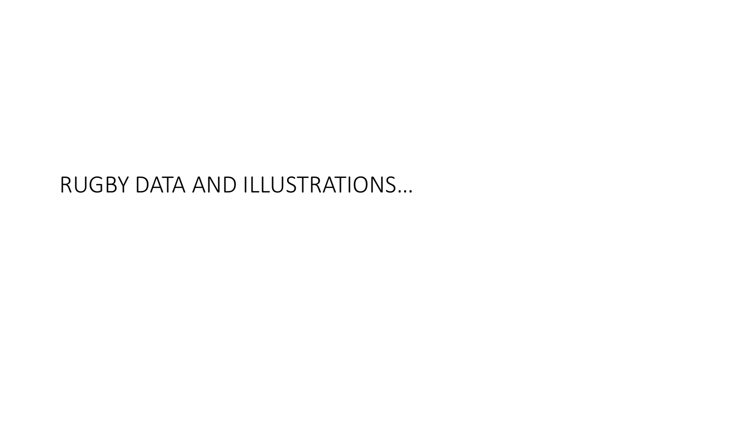# RUGBY DATA AND ILLUSTRATIONS…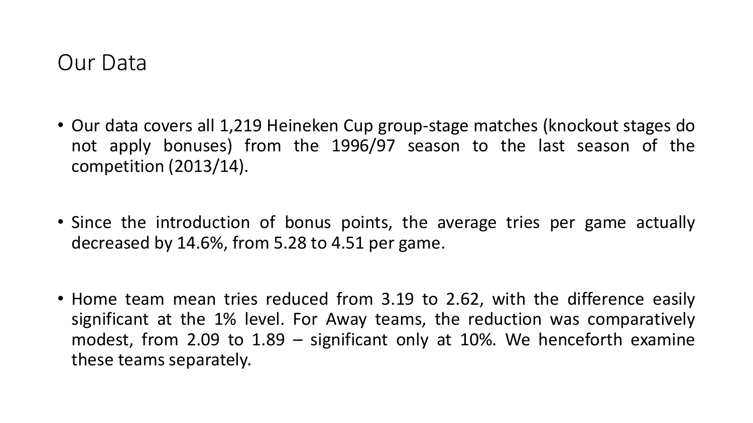## Our Data

- Our data covers all 1,219 Heineken Cup group-stage matches (knockout stages do not apply bonuses) from the 1996/97 season to the last season of the competition (2013/14).
- Since the introduction of bonus points, the average tries per game actually decreased by 14.6%, from 5.28 to 4.51 per game.
- Home team mean tries reduced from 3.19 to 2.62, with the difference easily significant at the 1% level. For Away teams, the reduction was comparatively modest, from 2.09 to 1.89 – significant only at 10%. We henceforth examine these teams separately.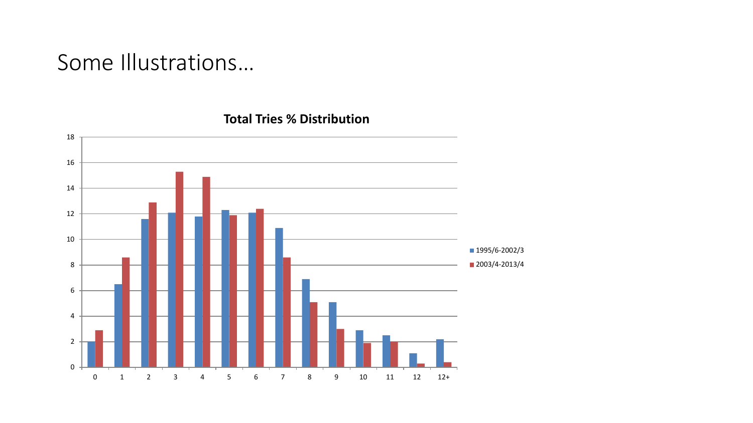# Some Illustrations…

 1 2 3 4 5 6 7 8 9 10 11 12 12+ **1995/6-2002/3** 2003/4-2013/4

#### **Total Tries % Distribution**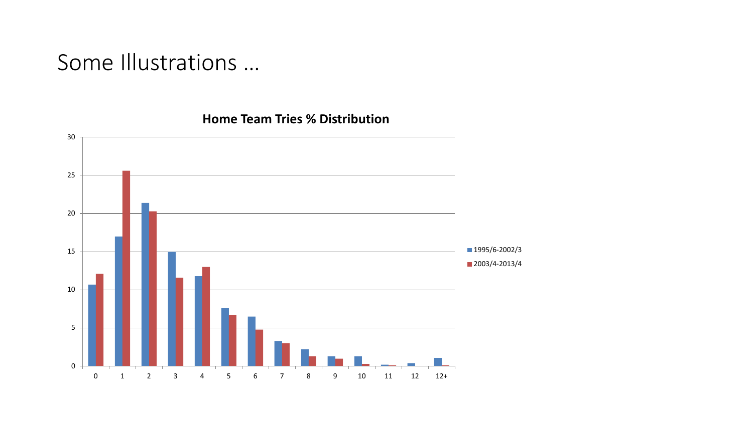# Some Illustrations …



#### **Home Team Tries % Distribution**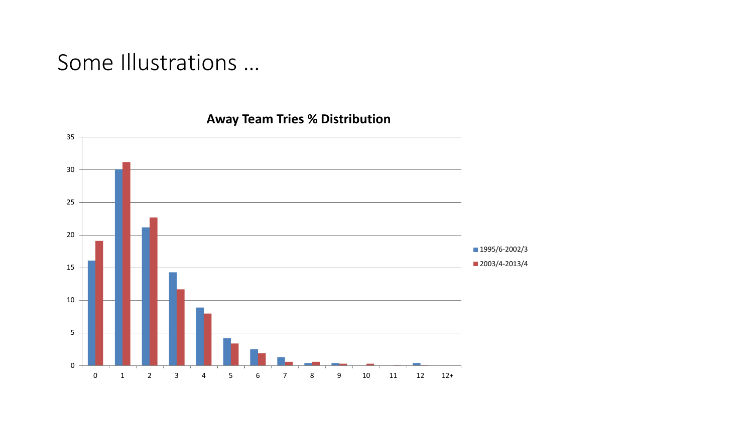# Some Illustrations …



## **Away Team Tries % Distribution**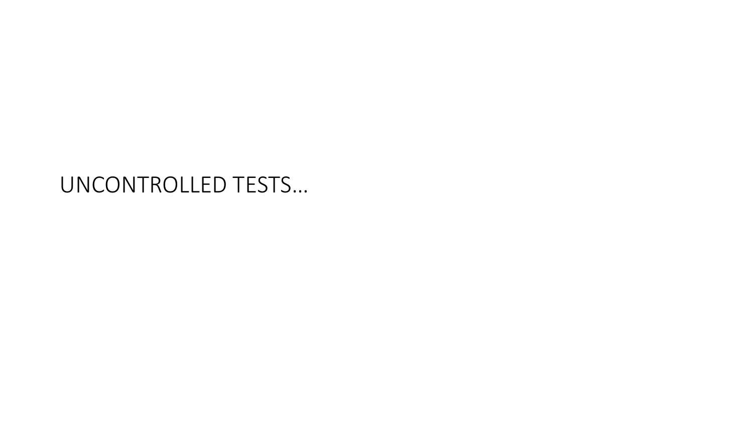# UNCONTROLLED TESTS…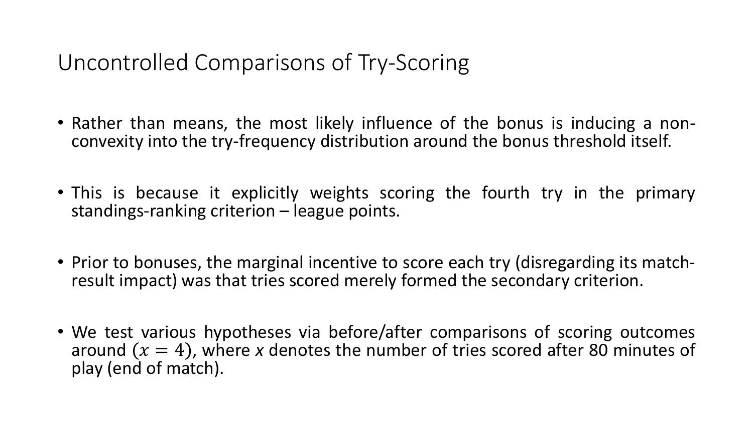Uncontrolled Comparisons of Try-Scoring

- Rather than means, the most likely influence of the bonus is inducing a non-<br>convexity into the try-frequency distribution around the bonus threshold itself.
- This is because it explicitly weights scoring the fourth try in the primary standings-ranking criterion – league points.
- Prior to bonuses, the marginal incentive to score each try (disregarding its match- result impact) was that tries scored merely formed the secondary criterion.
- We test various hypotheses via before/after comparisons of scoring outcomes around  $(x = 4)$ , where x denotes the number of tries scored after 80 minutes of play (end of match).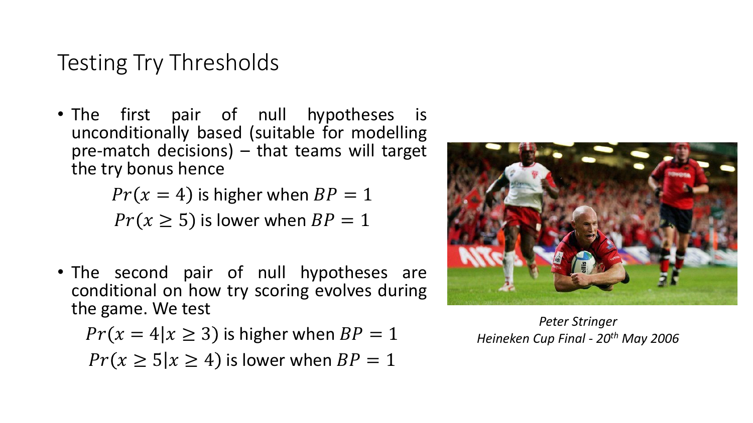# Testing Try Thresholds

• The first pair of null hypotheses is unconditionally based (suitable for modelling pre-match decisions) – that teams will target the try bonus hence

$$
Pr(x = 4)
$$
 is higher when  $BP = 1$ 

 $Pr(x \geq 5)$  is lower when  $BP = 1$ 

• The second pair of null hypotheses are conditional on how try scoring evolves during the game. We test

$$
Pr(x = 4 | x \ge 3)
$$
 is higher when  $BP = 1$   

$$
Pr(x \ge 5 | x \ge 4)
$$
 is lower when  $BP = 1$ 



*Peter Stringer Heineken Cup Final - 20th May 2006*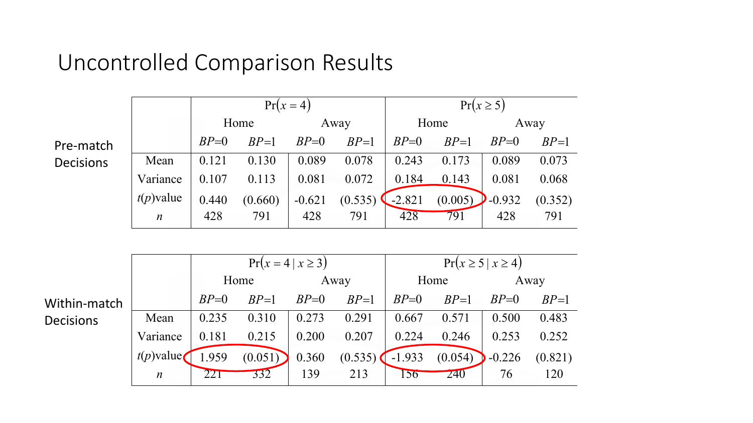# Uncontrolled Comparison Results

|                  |                  | $Pr(x=4)$ |         |          |         |          |         | $Pr(x \ge 5)$ |         |
|------------------|------------------|-----------|---------|----------|---------|----------|---------|---------------|---------|
|                  |                  | Home      |         | Away     |         | Home     |         | Away          |         |
| Pre-match        |                  | $BP=0$    | $BP=1$  | $BP=0$   | $BP=1$  | $BP=0$   | $BP=1$  | $BP=0$        | $BP=1$  |
| <b>Decisions</b> | Mean             | 0.121     | 0.130   | 0.089    | 0.078   | 0.243    | 0.173   | 0.089         | 0.073   |
|                  | Variance         | 0.107     | 0.113   | 0.081    | 0.072   | 0.184    | 0.143   | 0.081         | 0.068   |
|                  | $t(p)$ value     | 0.440     | (0.660) | $-0.621$ | (0.535) | $-2.821$ | (0.005) | $-0.932$      | (0.352) |
|                  | $\boldsymbol{n}$ | 428       | 791     | 428      | 791     | 428      | 791     | 428           | 791     |

|                  |                  | $Pr(x = 4   x \ge 3)$ |         |        |         | $Pr(x \ge 5   x \ge 4)$ |            |          |         |
|------------------|------------------|-----------------------|---------|--------|---------|-------------------------|------------|----------|---------|
|                  |                  | Home                  |         | Away   |         | Home                    |            | Away     |         |
| Within-match     |                  | $BP=0$                | $BP=1$  | $BP=0$ | $BP=1$  | $BP=0$                  | $BP=1$     | $BP=0$   | $BP=1$  |
| <b>Decisions</b> | Mean             | 0.235                 | 0.310   | 0.273  | 0.291   | 0.667                   | 0.571      | 0.500    | 0.483   |
|                  | Variance         | 0.181                 | 0.215   | 0.200  | 0.207   | 0.224                   | 0.246      | 0.253    | 0.252   |
|                  | $t(p)$ value     | .959                  | (0.051) | 0.360  | (0.535) | $-1.933$                | (0.054)    | $-0.226$ | (0.821) |
|                  | $\boldsymbol{n}$ | 221                   | 332     | 139    | 213     | 156                     | <b>Z40</b> | 76       | 120     |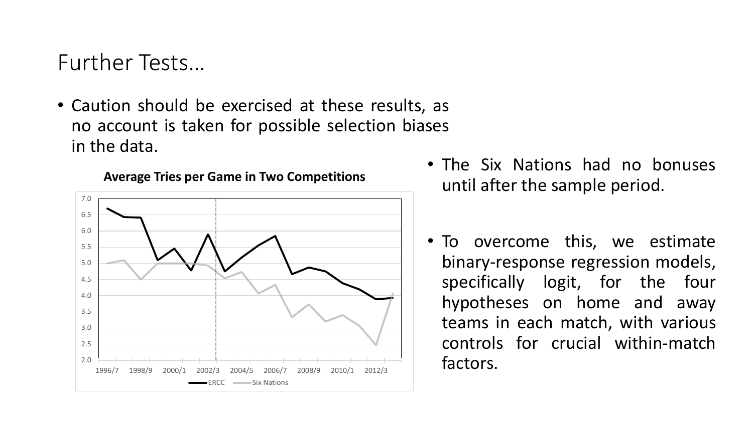# Further Tests…

• Caution should be exercised at these results, as no account is taken for possible selection biases in the data.



#### **Average Tries per Game in Two Competitions**

- The Six Nations had no bonuses until after the sample period.
- To overcome this, we estimate binary-response regression models, specifically logit, for the four hypotheses on home and away teams in each match, with various controls for crucial within-match factors.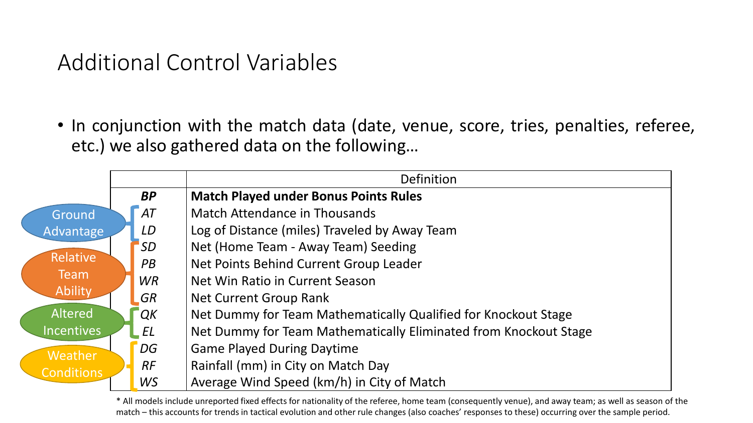# Additional Control Variables

• In conjunction with the match data (date, venue, score, tries, penalties, referee, etc.) we also gathered data on the following…

|                   |           |           | Definition                                                       |
|-------------------|-----------|-----------|------------------------------------------------------------------|
|                   | <b>BP</b> |           | <b>Match Played under Bonus Points Rules</b>                     |
| Ground            |           | AT        | Match Attendance in Thousands                                    |
| Advantage         |           | LD        | Log of Distance (miles) Traveled by Away Team                    |
|                   |           | <i>SD</i> | Net (Home Team - Away Team) Seeding                              |
| <b>Relative</b>   |           | PB        | Net Points Behind Current Group Leader                           |
| Team              |           | <b>WR</b> | Net Win Ratio in Current Season                                  |
| Ability           |           | <b>GR</b> | Net Current Group Rank                                           |
| <b>Altered</b>    |           | QK        | Net Dummy for Team Mathematically Qualified for Knockout Stage   |
| <b>Incentives</b> |           | EL        | Net Dummy for Team Mathematically Eliminated from Knockout Stage |
| Weather           |           | DG        | <b>Game Played During Daytime</b>                                |
| <b>Conditions</b> |           | <b>RF</b> | Rainfall (mm) in City on Match Day                               |
|                   |           | WS        | Average Wind Speed (km/h) in City of Match                       |

\* All models include unreported fixed effects for nationality of the referee, home team (consequently venue), and away team; as well as season of the match – this accounts for trends in tactical evolution and other rule changes (also coaches' responses to these) occurring over the sample period.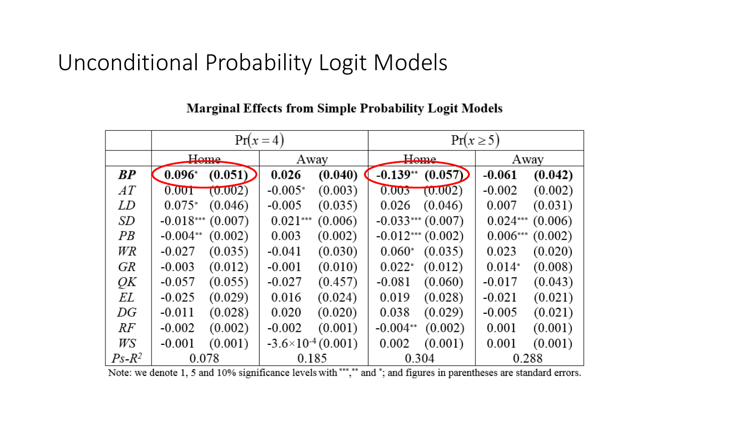# Unconditional Probability Logit Models

|          | $H_{Omega}$         |         | Away                        |         |                    | Home    | Away       |         |  |
|----------|---------------------|---------|-----------------------------|---------|--------------------|---------|------------|---------|--|
| BP       | $0.096*$            | (0.051) | 0.026                       | (0.040) | $-0.139**$         | (0.057) | $-0.061$   | (0.042) |  |
| АT       | 0.001               | (0.002) | $-0.005*$                   | (0.003) | 0.003              | (0.002) | $-0.002$   | (0.002) |  |
| LD       | $0.075*$            | (0.046) | $-0.005$                    | (0.035) | 0.026              | (0.046) | 0.007      | (0.031) |  |
| SD       | $-0.018***$ (0.007) |         | $0.021***$                  | (0.006) | $-0.033***(0.007)$ |         | $0.024***$ | (0.006) |  |
| PB       | $-0.004**$          | (0.002) | 0.003                       | (0.002) | $-0.012***(0.002)$ |         | $0.006***$ | (0.002) |  |
| WR       | $-0.027$            | (0.035) | $-0.041$                    | (0.030) | $0.060*$           | (0.035) | 0.023      | (0.020) |  |
| GR       | $-0.003$            | (0.012) | $-0.001$                    | (0.010) | $0.022*$           | (0.012) | $0.014*$   | (0.008) |  |
| QК       | $-0.057$            | (0.055) | $-0.027$                    | (0.457) | $-0.081$           | (0.060) | $-0.017$   | (0.043) |  |
| ΕL       | $-0.025$            | (0.029) | 0.016                       | (0.024) | 0.019              | (0.028) | $-0.021$   | (0.021) |  |
| DG       | $-0.011$            | (0.028) | 0.020                       | (0.020) | 0.038              | (0.029) | $-0.005$   | (0.021) |  |
| RF       | $-0.002$            | (0.002) | $-0.002$                    | (0.001) | $-0.004**$         | (0.002) | 0.001      | (0.001) |  |
| WS       | $-0.001$            | (0.001) | $-3.6\times10^{-4}$ (0.001) |         | 0.002              | (0.001) | 0.001      | (0.001) |  |
| $Ps-R^2$ | 0.078               |         | 0.185                       |         | 0.304              |         | 0.288      |         |  |

## **Marginal Effects from Simple Probability Logit Models**

Note: we denote 1, 5 and 10% significance levels with \*\*\*,\*\* and \*; and figures in parentheses are standard errors.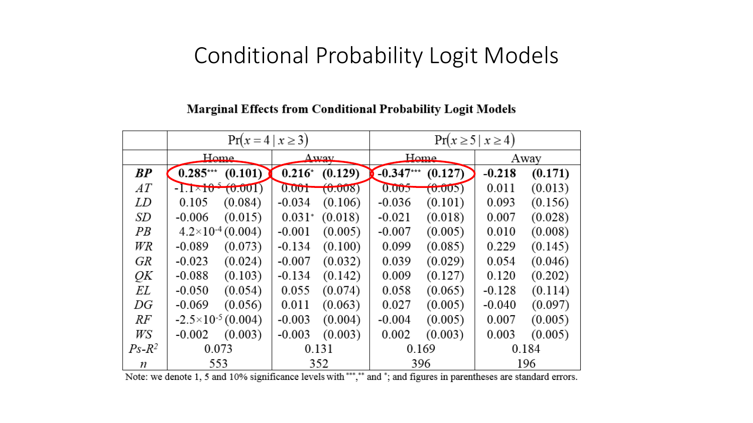# Conditional Probability Logit Models

#### $Pr(x = 4 | x \ge 3)$  $Pr(x \ge 5 | x \ge 4)$  $H<sub>Omega</sub>$  $H_{\alpha m \alpha}$  $\Delta$ way Away  $BP$  $0.285***$   $(0.101)$  $0.216^*$  (0.129)  $-0.347***$   $(0.127)$  $-0.218$  $(0.171)$  $0.001$   $(0.008)$  $AT$  $-1.1\times10^{-5}$  (0.001)  $0.005$  $(0.005)$ 0.011  $(0.013)$ LD 0.105  $(0.084)$  $-0.034$  $(0.106)$  $-0.036$  $(0.101)$ 0.093  $(0.156)$ **SD**  $-0.006$  $0.031^*$  (0.018)  $-0.021$ 0.007  $(0.015)$  $(0.018)$  $(0.028)$  $PB$  $4.2\times10^{-4}$  (0.004)  $-0.001$ 0.010  $(0.005)$  $-0.007$  $(0.005)$  $(0.008)$ **WR**  $-0.089$  $-0.134$ 0.099 0.229  $(0.073)$  $(0.100)$  $(0.085)$  $(0.145)$ **GR**  $-0.007$  $-0.023$  $(0.024)$  $(0.032)$ 0.039  $(0.029)$ 0.054  $(0.046)$ QК  $(0.103)$  $-0.134$ 0.009 0.120  $-0.088$  $(0.142)$  $(0.127)$  $(0.202)$ EL 0.055  $-0.050$  $(0.054)$  $(0.074)$ 0.058  $(0.065)$  $-0.128$  $(0.114)$  $DG$  $-0.069$  $(0.056)$ 0.011  $(0.063)$ 0.027  $(0.005)$  $-0.040$  $(0.097)$  $RF$  $-2.5\times10^{-5}$  (0.004)  $-0.003$  $-0.004$ 0.007  $(0.004)$  $(0.005)$  $(0.005)$ WS  $-0.002$ 0.003  $(0.003)$  $-0.003$  $(0.003)$ 0.002  $(0.003)$  $(0.005)$  $Ps-R^2$ 0.073 0.131 0.169 0.184 553 352 396 196 n

### **Marginal Effects from Conditional Probability Logit Models**

Note: we denote 1, 5 and 10% significance levels with \*\*\*,\*\* and \*; and figures in parentheses are standard errors.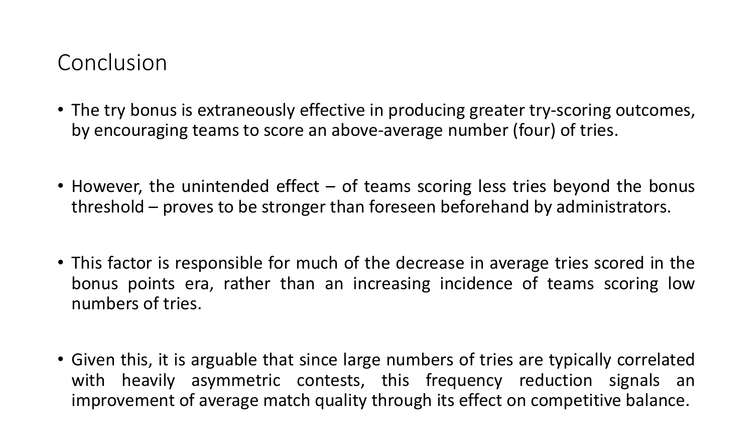# Conclusion

- The try bonus is extraneously effective in producing greater try-scoring outcomes, by encouraging teams to score an above-average number (four) of tries.
- However, the unintended effect of teams scoring less tries beyond the bonus threshold – proves to be stronger than foreseen beforehand by administrators.
- This factor is responsible for much of the decrease in average tries scored in the bonus points era, rather than an increasing incidence of teams scoring low numbers of tries.
- Given this, it is arguable that since large numbers of tries are typically correlated with heavily asymmetric contests, this frequency reduction signals an improvement of average match quality through its effect on competitive balance.